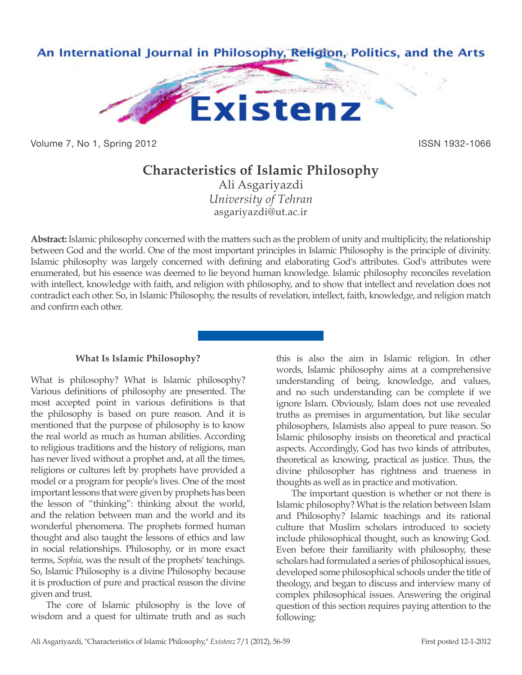

Volume 7, No 1, Spring 2012 **ISSN 1932-1066** 

## **Characteristics of Islamic Philosophy**

Ali Asgariyazdi *University of Tehran* asgariyazdi@ut.ac.ir

**Abstract:** Islamic philosophy concerned with the matters such as the problem of unity and multiplicity, the relationship between God and the world. One of the most important principles in Islamic Philosophy is the principle of divinity. Islamic philosophy was largely concerned with defining and elaborating God's attributes. God's attributes were enumerated, but his essence was deemed to lie beyond human knowledge. Islamic philosophy reconciles revelation with intellect, knowledge with faith, and religion with philosophy, and to show that intellect and revelation does not contradict each other. So, in Islamic Philosophy, the results of revelation, intellect, faith, knowledge, and religion match and confirm each other.

## **What Is Islamic Philosophy?**

What is philosophy? What is Islamic philosophy? Various definitions of philosophy are presented. The most accepted point in various definitions is that the philosophy is based on pure reason. And it is mentioned that the purpose of philosophy is to know the real world as much as human abilities. According to religious traditions and the history of religions, man has never lived without a prophet and, at all the times, religions or cultures left by prophets have provided a model or a program for people's lives. One of the most important lessons that were given by prophets has been the lesson of "thinking": thinking about the world, and the relation between man and the world and its wonderful phenomena. The prophets formed human thought and also taught the lessons of ethics and law in social relationships. Philosophy, or in more exact terms, *Sophia*, was the result of the prophets' teachings. So, Islamic Philosophy is a divine Philosophy because it is production of pure and practical reason the divine given and trust.

The core of Islamic philosophy is the love of wisdom and a quest for ultimate truth and as such

this is also the aim in Islamic religion. In other words, Islamic philosophy aims at a comprehensive understanding of being, knowledge, and values, and no such understanding can be complete if we ignore Islam. Obviously, Islam does not use revealed truths as premises in argumentation, but like secular philosophers, Islamists also appeal to pure reason. So Islamic philosophy insists on theoretical and practical aspects. Accordingly, God has two kinds of attributes, theoretical as knowing, practical as justice. Thus, the divine philosopher has rightness and trueness in thoughts as well as in practice and motivation.

The important question is whether or not there is Islamic philosophy? What is the relation between Islam and Philosophy? Islamic teachings and its rational culture that Muslim scholars introduced to society include philosophical thought, such as knowing God. Even before their familiarity with philosophy, these scholars had formulated a series of philosophical issues, developed some philosophical schools under the title of theology, and began to discuss and interview many of complex philosophical issues. Answering the original question of this section requires paying attention to the following: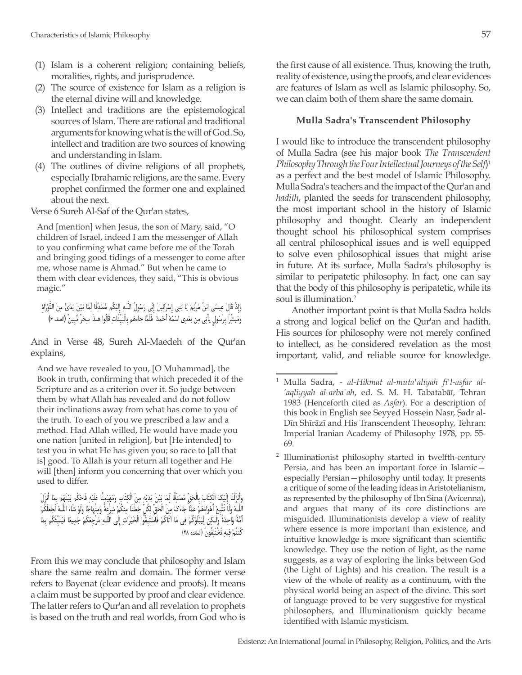- (1) Islam is a coherent religion; containing beliefs, moralities, rights, and jurisprudence.
- (2) The source of existence for Islam as a religion is the eternal divine will and knowledge.
- (3) Intellect and traditions are the epistemological sources of Islam. There are rational and traditional arguments for knowing what is the will of God. So, intellect and tradition are two sources of knowing and understanding in Islam.
- (4) The outlines of divine religions of all prophets, especially Ibrahamic religions, are the same. Every prophet confirmed the former one and explained about the next.

Verse 6 Sureh Al-Saf of the Qur'an states,

And [mention] when Jesus, the son of Mary, said, "O children of Israel, indeed I am the messenger of Allah to you confirming what came before me of the Torah and bringing good tidings of a messenger to come after me, whose name is Ahmad." But when he came to them with clear evidences, they said, "This is obvious magic."

وَإِذْ قَالَ عِيسَى ابْنُ مَرْيَمَ يَا بَنِي إِسْرَائِيلَ إِنِّي رَسُولُ اللَّـهِ إِلَيْكُم مُّصَدِّقًا لِمَا بَيْنَ يَدَىَّ مِنَ التَّوْرَاة وَمُبَشِّرًا برَسُول يَأتِي مِن بَعْدِي اسْمُهُ أَحْمَدُ ۖ فَلَمَّا جَاءَهُم بِالْبَيِّنَاتِ قَالُوا هَـذَا سِحْر مُّبينٌ (الصف ۶)

And in Verse 48, Sureh Al-Maedeh of the Qur'an explains,

And we have revealed to you, [O Muhammad], the Book in truth, confirming that which preceded it of the Scripture and as a criterion over it. So judge between them by what Allah has revealed and do not follow their inclinations away from what has come to you of the truth. To each of you we prescribed a law and a method. Had Allah willed, He would have made you one nation [united in religion], but [He intended] to test you in what He has given you; so race to [all that is] good. To Allah is your return all together and He will [then] inform you concerning that over which you used to differ.

وَأَنزَلْنَا إِلَيْكَ الْكِتَابَ بِالْحَقِّ مُصَدِّقًا لِّمَا بَيْنَ يَدَيْهِ مِنَ الْكِتَابِ وَمُهَيْمِنًا عَلَيْهِ فَاحْكُم بَيْنَهُم بِمَا أُنزَلَ اللَّهُ وَلَا تَتَّبِعْ أَهْوَاءَهُمْ عَمَّا جَاءَكَ مِنَ الْحَقِّ لِكُلِّ جَعَلْنَا مِنكُمْ شِرْعَةً وَمِنْهَاجًا وَلَوْ شَاءَ اللَّـهُ لَجَعَلَكُمْ الله وَ الْحَسِنِ الْمُؤْتَسَلَ لَهُمْ يَسْمَدُ مِنْ الْحَمْلِ وَاللَّهِ بِمَعْلَمَ مِنْعَلَمَ الْبَرْحَ وَرَجِعَكُمْ جَمِيعًا فَيَنَبِّئُكُم بِعَا<br>أَمَّةُ وَاحِدَةً وَلَـكِنْ لِّيَنْلُوَكُمْ فِي مَا آتَاكُمْ فَاسْتَبِقُو كُنتُمْ فيه تَخْتَلَفُونَ (المائده ۴۸)

From this we may conclude that philosophy and Islam share the same realm and domain. The former verse refers to Bayenat (clear evidence and proofs). It means a claim must be supported by proof and clear evidence. The latter refers to Qur'an and all revelation to prophets is based on the truth and real worlds, from God who is the first cause of all existence. Thus, knowing the truth, reality of existence, using the proofs, and clear evidences are features of Islam as well as Islamic philosophy. So, we can claim both of them share the same domain.

## **Mulla Sadra's Transcendent Philosophy**

I would like to introduce the transcendent philosophy of Mulla Sadra (see his major book *The Transcendent Philosophy Through the Four Intellectual Journeys of the Self*) 1 as a perfect and the best model of Islamic Philosophy. Mulla Sadra's teachers and the impact of the Qur'an and *hadith*, planted the seeds for transcendent philosophy, the most important school in the history of Islamic philosophy and thought. Clearly an independent thought school his philosophical system comprises all central philosophical issues and is well equipped to solve even philosophical issues that might arise in future. At its surface, Mulla Sadra's philosophy is similar to peripatetic philosophy. In fact, one can say that the body of this philosophy is peripatetic, while its soul is illumination.<sup>2</sup>

Another important point is that Mulla Sadra holds a strong and logical belief on the Qur'an and hadith. His sources for philosophy were not merely confined to intellect, as he considered revelation as the most important, valid, and reliable source for knowledge.

<sup>1</sup> Mulla Sadra, *- al-Hikmat al-muta'aliyah fi'l-asfar al- 'aqliyyah al-arba'ah*, ed. S. M. H. Tabatabāī, Tehran 1983 (Henceforth cited as *Asfar*). For a description of this book in English see Seyyed Hossein Nasr, Sadr al-Dīn Shīrāzī and His Transcendent Theosophy, Tehran: Imperial Iranian Academy of Philosophy 1978, pp. 55- 69.

<sup>&</sup>lt;sup>2</sup> Illuminationist philosophy started in twelfth-century Persia, and has been an important force in Islamic especially Persian—philosophy until today. It presents a critique of some of the leading ideas in Aristotelianism, as represented by the philosophy of Ibn Sina (Avicenna), and argues that many of its core distinctions are misguided. Illuminationists develop a view of reality where essence is more important than existence, and intuitive knowledge is more significant than scientific knowledge. They use the notion of light, as the name suggests, as a way of exploring the links between God (the Light of Lights) and his creation. The result is a view of the whole of reality as a continuum, with the physical world being an aspect of the divine. This sort of language proved to be very suggestive for mystical philosophers, and Illuminationism quickly became identified with Islamic mysticism.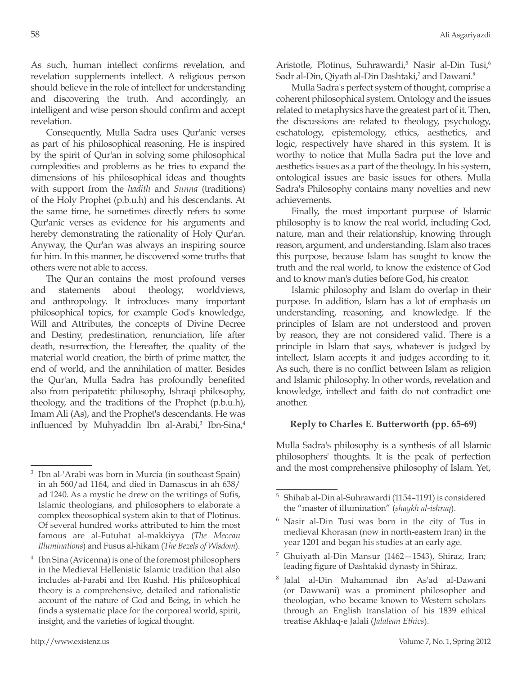As such, human intellect confirms revelation, and revelation supplements intellect. A religious person should believe in the role of intellect for understanding and discovering the truth. And accordingly, an intelligent and wise person should confirm and accept revelation.

Consequently, Mulla Sadra uses Qur'anic verses as part of his philosophical reasoning. He is inspired by the spirit of Qur'an in solving some philosophical complexities and problems as he tries to expand the dimensions of his philosophical ideas and thoughts with support from the *hadith* and *Sunna* (traditions) of the Holy Prophet (p.b.u.h) and his descendants. At the same time, he sometimes directly refers to some Qur'anic verses as evidence for his arguments and hereby demonstrating the rationality of Holy Qur'an. Anyway, the Qur'an was always an inspiring source for him. In this manner, he discovered some truths that others were not able to access.

The Qur'an contains the most profound verses and statements about theology, worldviews, and anthropology. It introduces many important philosophical topics, for example God's knowledge, Will and Attributes, the concepts of Divine Decree and Destiny, predestination, renunciation, life after death, resurrection, the Hereafter, the quality of the material world creation, the birth of prime matter, the end of world, and the annihilation of matter. Besides the Qur'an, Mulla Sadra has profoundly benefited also from peripatetitc philosophy, Ishraqi philosophy, theology, and the traditions of the Prophet (p.b.u.h), Imam Ali (As), and the Prophet's descendants. He was influenced by Muhyaddin Ibn al-Arabi,<sup>3</sup> Ibn-Sina,<sup>4</sup>

Aristotle, Plotinus, Suhrawardi,<sup>5</sup> Nasir al-Din Tusi,<sup>6</sup> Sadr al-Din, Qiyath al-Din Dashtaki,<sup>7</sup> and Dawani.<sup>8</sup>

Mulla Sadra's perfect system of thought, comprise a coherent philosophical system. Ontology and the issues related to metaphysics have the greatest part of it. Then, the discussions are related to theology, psychology, eschatology, epistemology, ethics, aesthetics, and logic, respectively have shared in this system. It is worthy to notice that Mulla Sadra put the love and aesthetics issues as a part of the theology. In his system, ontological issues are basic issues for others. Mulla Sadra's Philosophy contains many novelties and new achievements.

Finally, the most important purpose of Islamic philosophy is to know the real world, including God, nature, man and their relationship, knowing through reason, argument, and understanding. Islam also traces this purpose, because Islam has sought to know the truth and the real world, to know the existence of God and to know man's duties before God, his creator.

Islamic philosophy and Islam do overlap in their purpose. In addition, Islam has a lot of emphasis on understanding, reasoning, and knowledge. If the principles of Islam are not understood and proven by reason, they are not considered valid. There is a principle in Islam that says, whatever is judged by intellect, Islam accepts it and judges according to it. As such, there is no conflict between Islam as religion and Islamic philosophy. In other words, revelation and knowledge, intellect and faith do not contradict one another.

## **Reply to Charles E. Butterworth (pp. 65-69)**

Mulla Sadra's philosophy is a synthesis of all Islamic philosophers' thoughts. It is the peak of perfection and the most comprehensive philosophy of Islam. Yet,

<sup>3</sup> Ibn al-'Arabi was born in Murcia (in southeast Spain) in ah 560/ad 1164, and died in Damascus in ah 638/ ad 1240. As a mystic he drew on the writings of Sufis, Islamic theologians, and philosophers to elaborate a complex theosophical system akin to that of Plotinus. Of several hundred works attributed to him the most famous are al-Futuhat al-makkiyya (*The Meccan Illuminations*) and Fusus al-hikam (*The Bezels of Wisdom*).

Ibn Sina (Avicenna) is one of the foremost philosophers in the Medieval Hellenistic Islamic tradition that also includes al-Farabi and Ibn Rushd. His philosophical theory is a comprehensive, detailed and rationalistic account of the nature of God and Being, in which he finds a systematic place for the corporeal world, spirit, insight, and the varieties of logical thought.

<sup>5</sup> Shihab al-Din al-Suhrawardi (1154–1191) is considered the "master of illumination" (*shaykh al-ishraq*).

<sup>6</sup> Nasir al-Din Tusi was born in the city of Tus in medieval Khorasan (now in north-eastern Iran) in the year 1201 and began his studies at an early age.

<sup>&</sup>lt;sup>7</sup> Ghuiyath al-Din Mansur (1462–1543), Shiraz, Iran; leading figure of Dashtakid dynasty in Shiraz.

<sup>8</sup> Jalal al-Din Muhammad ibn As'ad al-Dawani (or Dawwani) was a prominent philosopher and theologian, who became known to Western scholars through an English translation of his 1839 ethical treatise Akhlaq-e Jalali (*Jalalean Ethics*).